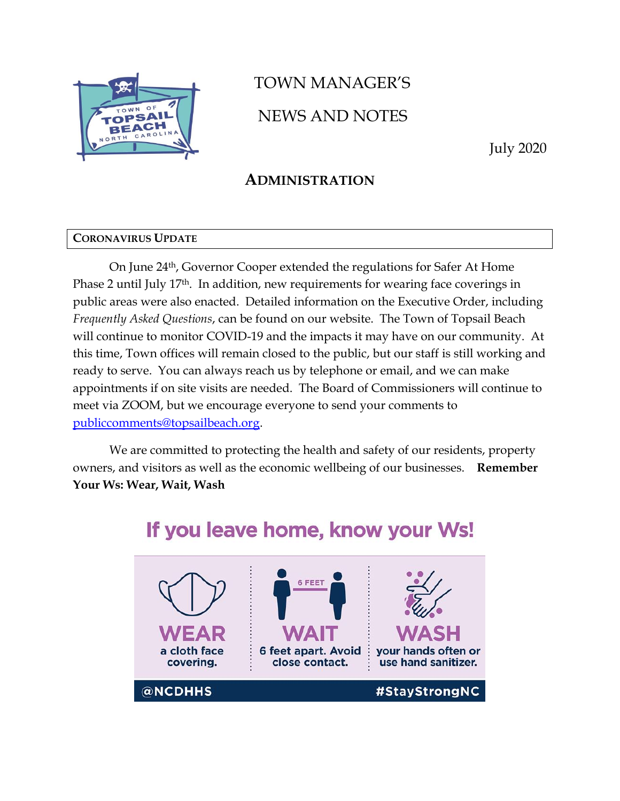

# TOWN MANAGER'S NEWS AND NOTES

July 2020

## **ADMINISTRATION**

#### **CORONAVIRUS UPDATE**

On June 24th, Governor Cooper extended the regulations for Safer At Home Phase 2 until July 17th. In addition, new requirements for wearing face coverings in public areas were also enacted. Detailed information on the Executive Order, including *Frequently Asked Questions*, can be found on our website. The Town of Topsail Beach will continue to monitor COVID-19 and the impacts it may have on our community. At this time, Town offices will remain closed to the public, but our staff is still working and ready to serve. You can always reach us by telephone or email, and we can make appointments if on site visits are needed. The Board of Commissioners will continue to meet via ZOOM, but we encourage everyone to send your comments to [publiccomments@topsailbeach.org.](mailto:publiccomments@topsailbeach.org)

We are committed to protecting the health and safety of our residents, property owners, and visitors as well as the economic wellbeing of our businesses. **Remember Your Ws: Wear, Wait, Wash**

## **6 FEET 6 feet apart. Avoid** vour hands often or a cloth face use hand sanitizer. covering. close contact. @NCDHHS #StayStrongNC

## If you leave home, know your Ws!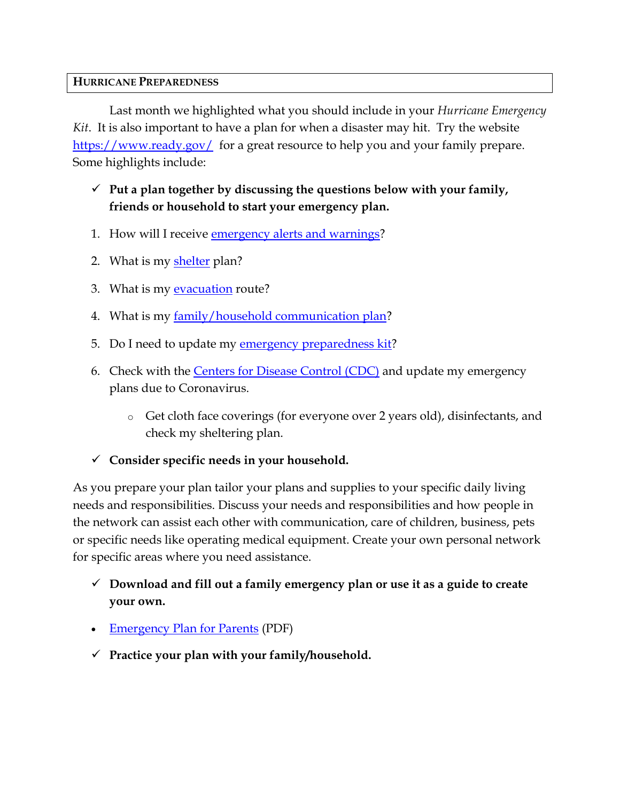### **HURRICANE PREPAREDNESS**

Last month we highlighted what you should include in your *Hurricane Emergency Kit*. It is also important to have a plan for when a disaster may hit. Try the website <https://www.ready.gov/> for a great resource to help you and your family prepare. Some highlights include:

## ✓ **Put a plan together by discussing the questions below with your family, friends or household to start your emergency plan.**

- 1. How will I receive [emergency alerts and warnings?](http://www.ready.gov/alerts)
- 2. What is my [shelter](http://www.ready.gov/shelter) plan?
- 3. What is my [evacuation](http://www.ready.gov/evacuation) route?
- 4. What is my [family/household communication plan?](https://www.ready.gov/sites/default/files/2020-03/create-your-family-emergency-communication-plan.pdf)
- 5. Do I need to update my [emergency preparedness kit?](https://www.ready.gov/kit)
- 6. Check with the [Centers for Disease Control \(CDC\)](https://www.cdc.gov/coronavirus/2019-ncov/index.html) and update my emergency plans due to Coronavirus.
	- o Get cloth face coverings (for everyone over 2 years old), disinfectants, and check my sheltering plan.
- ✓ **Consider specific needs in your household.**

As you prepare your plan tailor your plans and supplies to your specific daily living needs and responsibilities. Discuss your needs and responsibilities and how people in the network can assist each other with communication, care of children, business, pets or specific needs like operating medical equipment. Create your own personal network for specific areas where you need assistance.

- ✓ **Download and fill out a family emergency plan or use it as a guide to create your own.**
- [Emergency Plan for Parents](https://www.ready.gov/sites/default/files/2020-03/create-your-family-emergency-communication-plan.pdf) (PDF)
- ✓ **Practice your plan with your family/household.**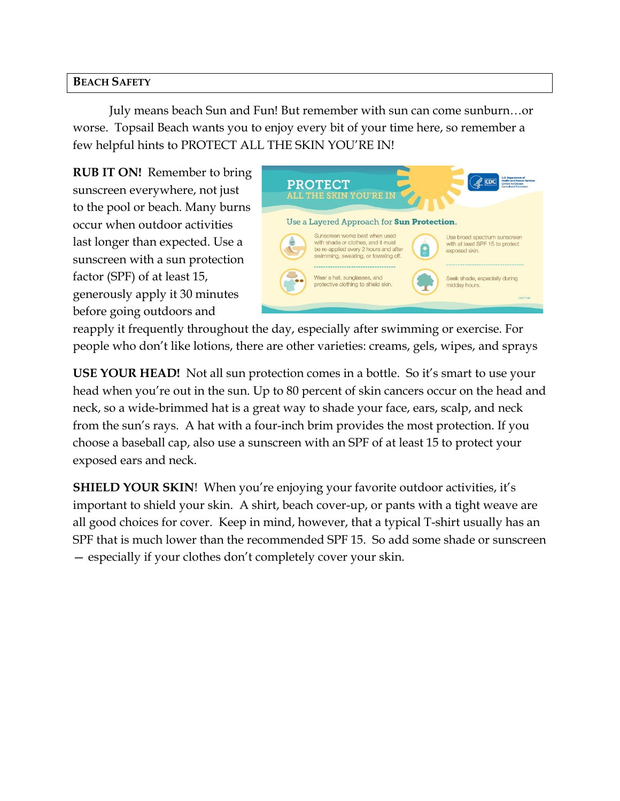### **BEACH SAFETY**

July means beach Sun and Fun! But remember with sun can come sunburn…or worse. Topsail Beach wants you to enjoy every bit of your time here, so remember a few helpful hints to PROTECT ALL THE SKIN YOU'RE IN!

**RUB IT ON!** Remember to bring sunscreen everywhere, not just to the pool or beach. Many burns occur when outdoor activities last longer than expected. Use a sunscreen with a sun protection factor (SPF) of at least 15, generously apply it 30 minutes before going outdoors and



reapply it frequently throughout the day, especially after swimming or exercise. For people who don't like lotions, there are other varieties: creams, gels, wipes, and sprays

**USE YOUR HEAD!** Not all sun protection comes in a bottle. So it's smart to use your head when you're out in the sun. Up to 80 percent of skin cancers occur on the head and neck, so a wide-brimmed hat is a great way to shade your face, ears, scalp, and neck from the sun's rays. A hat with a four-inch brim provides the most protection. If you choose a baseball cap, also use a sunscreen with an SPF of at least 15 to protect your exposed ears and neck.

**SHIELD YOUR SKIN!** When you're enjoying your favorite outdoor activities, it's important to shield your skin. A shirt, beach cover-up, or pants with a tight weave are all good choices for cover. Keep in mind, however, that a typical T-shirt usually has an SPF that is much lower than the recommended SPF 15. So add some shade or sunscreen — especially if your clothes don't completely cover your skin.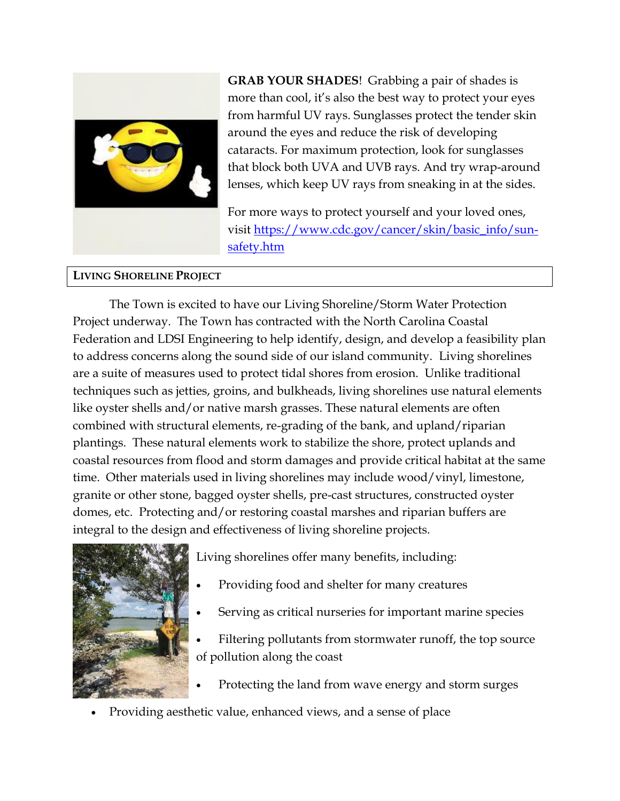

**GRAB YOUR SHADES**! Grabbing a pair of shades is more than cool, it's also the best way to protect your eyes from harmful UV rays. Sunglasses protect the tender skin around the eyes and reduce the risk of developing cataracts. For maximum protection, look for sunglasses that block both UVA and UVB rays. And try wrap-around lenses, which keep UV rays from sneaking in at the sides.

For more ways to protect yourself and your loved ones, visit [https://www.cdc.gov/cancer/skin/basic\\_info/sun](https://www.cdc.gov/cancer/skin/basic_info/sun-safety.htm)[safety.htm](https://www.cdc.gov/cancer/skin/basic_info/sun-safety.htm)

#### **LIVING SHORELINE PROJECT**

The Town is excited to have our Living Shoreline/Storm Water Protection Project underway. The Town has contracted with the North Carolina Coastal Federation and LDSI Engineering to help identify, design, and develop a feasibility plan to address concerns along the sound side of our island community. Living shorelines are a suite of measures used to protect tidal shores from erosion. Unlike traditional techniques such as jetties, groins, and bulkheads, living shorelines use natural elements like oyster shells and/or native marsh grasses. These natural elements are often combined with structural elements, re-grading of the bank, and upland/riparian plantings. These natural elements work to stabilize the shore, protect uplands and coastal resources from flood and storm damages and provide critical habitat at the same time. Other materials used in living shorelines may include wood/vinyl, limestone, granite or other stone, bagged oyster shells, pre-cast structures, constructed oyster domes, etc. Protecting and/or restoring coastal marshes and riparian buffers are integral to the design and effectiveness of living shoreline projects.



Living shorelines offer many benefits, including:

- Providing food and shelter for many creatures
- Serving as critical nurseries for important marine species
- Filtering pollutants from stormwater runoff, the top source of pollution along the coast
- Protecting the land from wave energy and storm surges
- Providing aesthetic value, enhanced views, and a sense of place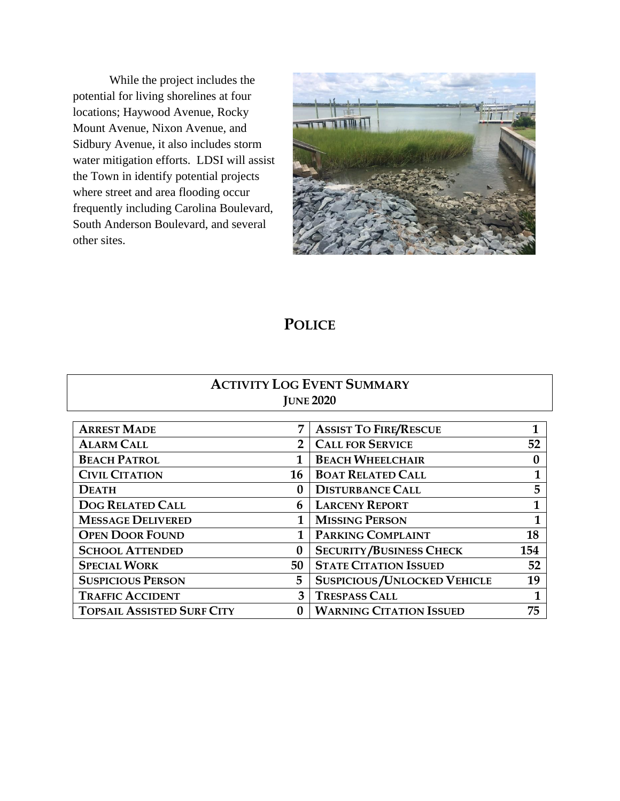While the project includes the potential for living shorelines at four locations; Haywood Avenue, Rocky Mount Avenue, Nixon Avenue, and Sidbury Avenue, it also includes storm water mitigation efforts. LDSI will assist the Town in identify potential projects where street and area flooding occur frequently including Carolina Boulevard, South Anderson Boulevard, and several other sites.



## **POLICE**

## **ACTIVITY LOG EVENT SUMMARY JUNE 2020**

| <b>ARREST MADE</b>                | 7            | <b>ASSIST TO FIRE/RESCUE</b>       | 1                |
|-----------------------------------|--------------|------------------------------------|------------------|
| <b>ALARM CALL</b>                 | $\mathbf{2}$ | <b>CALL FOR SERVICE</b>            | 52               |
| <b>BEACH PATROL</b>               |              | <b>BEACH WHEELCHAIR</b>            | $\boldsymbol{0}$ |
| <b>CIVIL CITATION</b>             | 16           | <b>BOAT RELATED CALL</b>           | 1                |
| <b>DEATH</b>                      | $\mathbf{0}$ | <b>DISTURBANCE CALL</b>            | 5                |
| <b>DOG RELATED CALL</b>           | 6            | <b>LARCENY REPORT</b>              | 1                |
| <b>MESSAGE DELIVERED</b>          | 1            | <b>MISSING PERSON</b>              |                  |
| <b>OPEN DOOR FOUND</b>            |              | PARKING COMPLAINT                  | 18               |
| <b>SCHOOL ATTENDED</b>            | $\bf{0}$     | <b>SECURITY/BUSINESS CHECK</b>     | 154              |
| <b>SPECIAL WORK</b>               | 50           | <b>STATE CITATION ISSUED</b>       | 52               |
| <b>SUSPICIOUS PERSON</b>          | 5            | <b>SUSPICIOUS/UNLOCKED VEHICLE</b> | 19               |
| <b>TRAFFIC ACCIDENT</b>           | 3            | <b>TRESPASS CALL</b>               |                  |
| <b>TOPSAIL ASSISTED SURF CITY</b> |              | <b>WARNING CITATION ISSUED</b>     | 75               |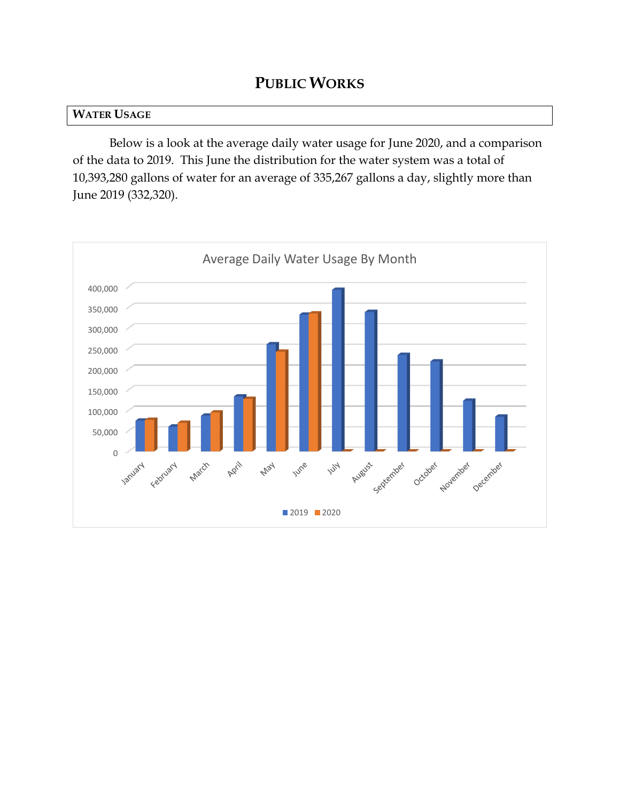## **PUBLIC WORKS**

#### **WATER USAGE**

Below is a look at the average daily water usage for June 2020, and a comparison of the data to 2019. This June the distribution for the water system was a total of 10,393,280 gallons of water for an average of 335,267 gallons a day, slightly more than June 2019 (332,320).

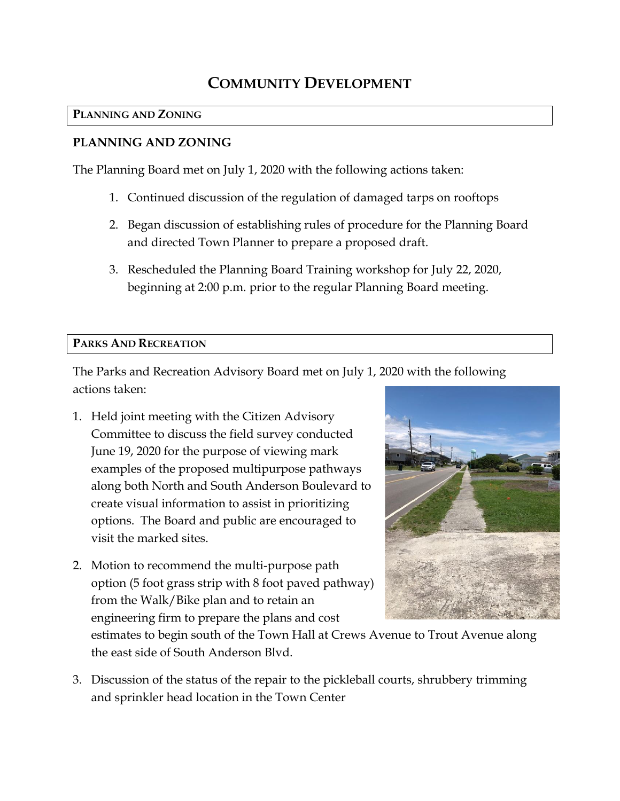## **COMMUNITY DEVELOPMENT**

## **PLANNING AND ZONING**

## **PLANNING AND ZONING**

The Planning Board met on July 1, 2020 with the following actions taken:

- 1. Continued discussion of the regulation of damaged tarps on rooftops
- 2. Began discussion of establishing rules of procedure for the Planning Board and directed Town Planner to prepare a proposed draft.
- 3. Rescheduled the Planning Board Training workshop for July 22, 2020, beginning at 2:00 p.m. prior to the regular Planning Board meeting.

## **PARKS AND RECREATION**

The Parks and Recreation Advisory Board met on July 1, 2020 with the following actions taken:

- 1. Held joint meeting with the Citizen Advisory Committee to discuss the field survey conducted June 19, 2020 for the purpose of viewing mark examples of the proposed multipurpose pathways along both North and South Anderson Boulevard to create visual information to assist in prioritizing options. The Board and public are encouraged to visit the marked sites.
- 2. Motion to recommend the multi-purpose path option (5 foot grass strip with 8 foot paved pathway) from the Walk/Bike plan and to retain an engineering firm to prepare the plans and cost



estimates to begin south of the Town Hall at Crews Avenue to Trout Avenue along the east side of South Anderson Blvd.

3. Discussion of the status of the repair to the pickleball courts, shrubbery trimming and sprinkler head location in the Town Center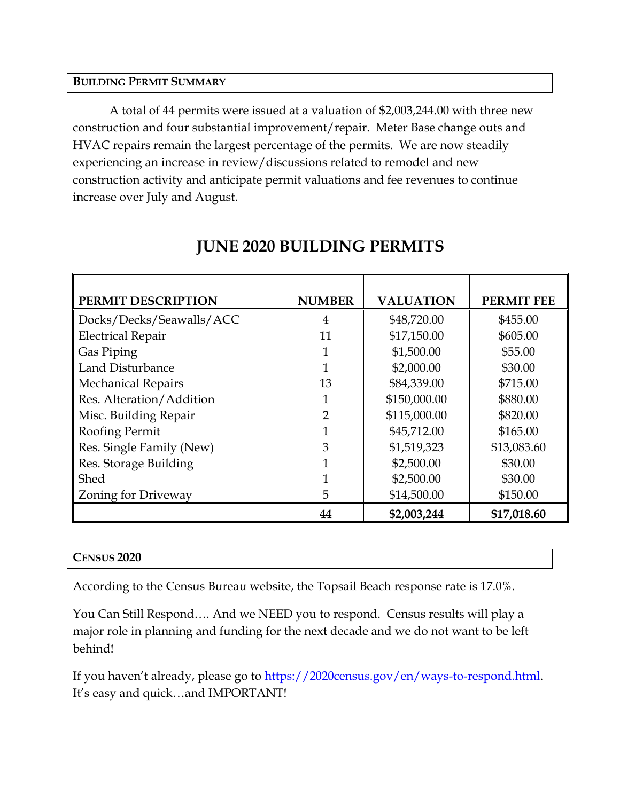#### **BUILDING PERMIT SUMMARY**

A total of 44 permits were issued at a valuation of \$2,003,244.00 with three new construction and four substantial improvement/repair. Meter Base change outs and HVAC repairs remain the largest percentage of the permits. We are now steadily experiencing an increase in review/discussions related to remodel and new construction activity and anticipate permit valuations and fee revenues to continue increase over July and August.

| PERMIT DESCRIPTION         | <b>NUMBER</b>  | <b>VALUATION</b> | <b>PERMIT FEE</b> |
|----------------------------|----------------|------------------|-------------------|
| Docks/Decks/Seawalls/ACC   | $\overline{4}$ | \$48,720.00      | \$455.00          |
| <b>Electrical Repair</b>   | 11             | \$17,150.00      | \$605.00          |
| Gas Piping                 |                | \$1,500.00       | \$55.00           |
| Land Disturbance           | 1              | \$2,000.00       | \$30.00           |
| <b>Mechanical Repairs</b>  | 13             | \$84,339.00      | \$715.00          |
| Res. Alteration/Addition   |                | \$150,000.00     | \$880.00          |
| Misc. Building Repair      | $\overline{2}$ | \$115,000.00     | \$820.00          |
| Roofing Permit             |                | \$45,712.00      | \$165.00          |
| Res. Single Family (New)   | 3              | \$1,519,323      | \$13,083.60       |
| Res. Storage Building      |                | \$2,500.00       | \$30.00           |
| Shed                       |                | \$2,500.00       | \$30.00           |
| <b>Zoning for Driveway</b> | 5              | \$14,500.00      | \$150.00          |
|                            | 44             | \$2,003,244      | \$17,018.60       |

## **JUNE 2020 BUILDING PERMITS**

#### **CENSUS 2020**

According to the Census Bureau website, the Topsail Beach response rate is 17.0%.

You Can Still Respond…. And we NEED you to respond. Census results will play a major role in planning and funding for the next decade and we do not want to be left behind!

If you haven't already, please go to [https://2020census.gov/en/ways-to-respond.html.](https://2020census.gov/en/ways-to-respond.html) It's easy and quick…and IMPORTANT!